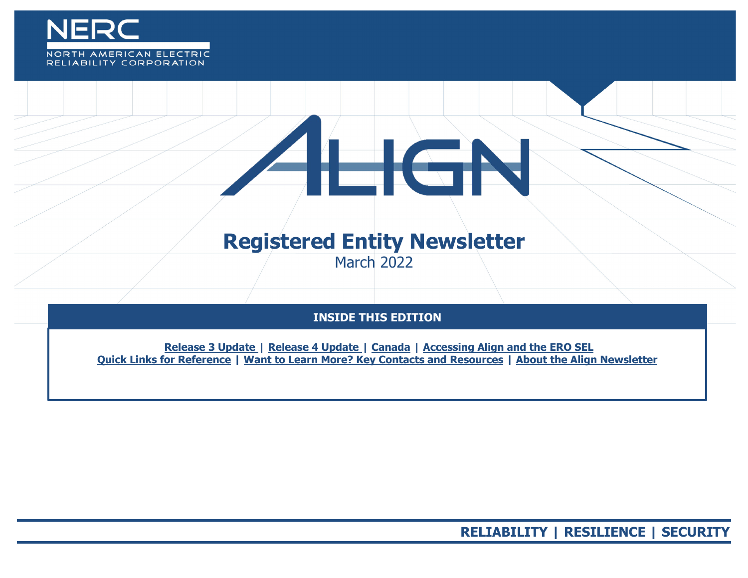

# RELIABILITY CORPORATION

# **Registered Entity Newsletter**

 $\equiv$  GP

March 2022

# **INSIDE THIS EDITION**

**Release 3 Update | Release 4 Update | Canada | Accessing Align [and the ERO SEL](#page-1-0) [Quick Links for Reference](#page-2-0) | [Want to Learn More? Key Contacts and Resources](#page-3-0) | [About the Align Newsletter](#page-4-0)**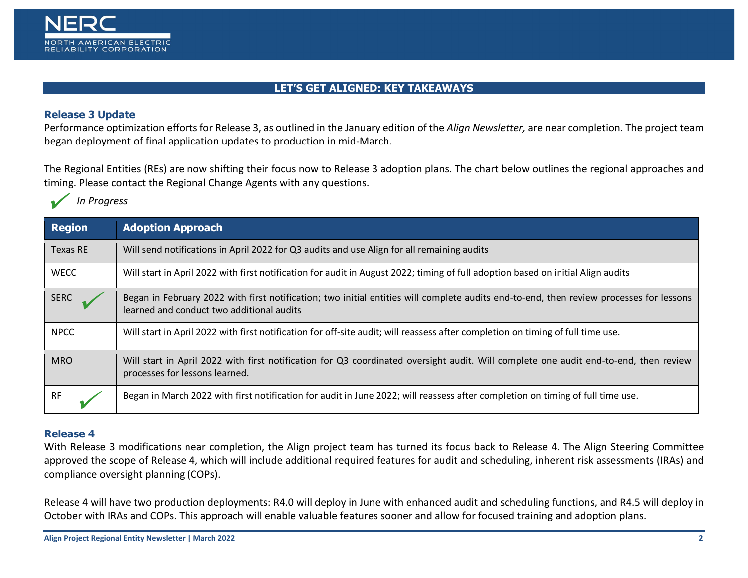

### **LET'S GET ALIGNED: KEY TAKEAWAYS**

#### **Release 3 Update**

Performance optimization efforts for Release 3, as outlined in the January edition of the *Align Newsletter,* are near completion. The project team began deployment of final application updates to production in mid-March.

The Regional Entities (REs) are now shifting their focus now to Release 3 adoption plans. The chart below outlines the regional approaches and timing. Please contact the Regional Change Agents with any questions.

 $\bigvee$ *In Progress*

| <b>Region</b> | <b>Adoption Approach</b>                                                                                                                                                             |
|---------------|--------------------------------------------------------------------------------------------------------------------------------------------------------------------------------------|
| Texas RE      | Will send notifications in April 2022 for Q3 audits and use Align for all remaining audits                                                                                           |
| <b>WECC</b>   | Will start in April 2022 with first notification for audit in August 2022; timing of full adoption based on initial Align audits                                                     |
| <b>SERC</b>   | Began in February 2022 with first notification; two initial entities will complete audits end-to-end, then review processes for lessons<br>learned and conduct two additional audits |
| <b>NPCC</b>   | Will start in April 2022 with first notification for off-site audit; will reassess after completion on timing of full time use.                                                      |
| <b>MRO</b>    | Will start in April 2022 with first notification for Q3 coordinated oversight audit. Will complete one audit end-to-end, then review<br>processes for lessons learned.               |
| <b>RF</b>     | Began in March 2022 with first notification for audit in June 2022; will reassess after completion on timing of full time use.                                                       |

#### <span id="page-1-0"></span>**Release 4**

With Release 3 modifications near completion, the Align project team has turned its focus back to Release 4. The Align Steering Committee approved the scope of Release 4, which will include additional required features for audit and scheduling, inherent risk assessments (IRAs) and compliance oversight planning (COPs).

Release 4 will have two production deployments: R4.0 will deploy in June with enhanced audit and scheduling functions, and R4.5 will deploy in October with IRAs and COPs. This approach will enable valuable features sooner and allow for focused training and adoption plans.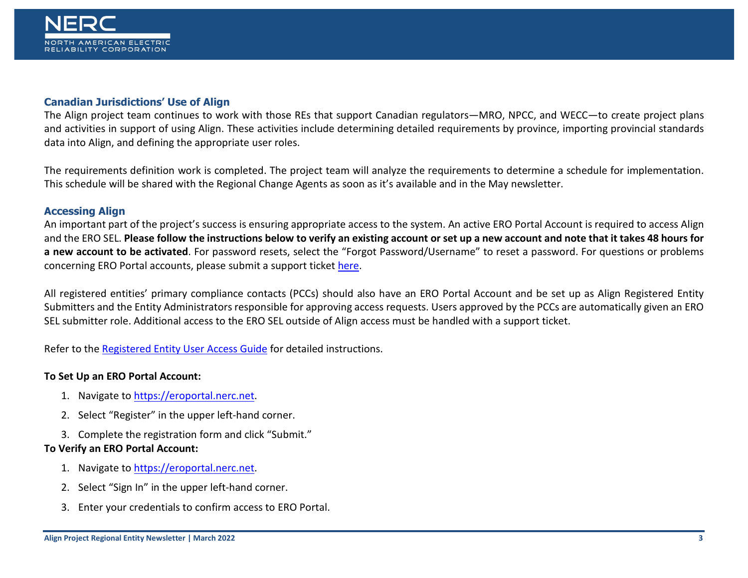#### **Canadian Jurisdictions' Use of Align**

The Align project team continues to work with those REs that support Canadian regulators—MRO, NPCC, and WECC—to create project plans and activities in support of using Align. These activities include determining detailed requirements by province, importing provincial standards data into Align, and defining the appropriate user roles.

The requirements definition work is completed. The project team will analyze the requirements to determine a schedule for implementation. This schedule will be shared with the Regional Change Agents as soon as it's available and in the May newsletter.

#### **Accessing Align**

An important part of the project's success is ensuring appropriate access to the system. An active ERO Portal Account is required to access Align and the ERO SEL. **Please follow the instructions below to verify an existing account or set up a new account and note that it takes 48 hours for a new account to be activated**. For password resets, select the "Forgot Password/Username" to reset a password. For questions or problems concerning ERO Portal accounts, please submit a support ticket [here.](https://support.nerc.net/)

All registered entities' primary compliance contacts (PCCs) should also have an ERO Portal Account and be set up as Align Registered Entity Submitters and the Entity Administrators responsible for approving access requests. Users approved by the PCCs are automatically given an ERO SEL submitter role. Additional access to the ERO SEL outside of Align access must be handled with a support ticket.

Refer to the [Registered Entity User Access Guide](https://trn.nerc.com/User%20Guide/RE_TTT_User_Access.pdf) for detailed instructions.

#### **To Set Up an ERO Portal Account:**

- 1. Navigate t[o https://eroportal.nerc.net.](https://eroportal.nerc.net/)
- 2. Select "Register" in the upper left-hand corner.
- 3. Complete the registration form and click "Submit."

#### **To Verify an ERO Portal Account:**

- 1. Navigate t[o https://eroportal.nerc.net.](https://eroportal.nerc.net/)
- 2. Select "Sign In" in the upper left-hand corner.
- <span id="page-2-0"></span>3. Enter your credentials to confirm access to ERO Portal.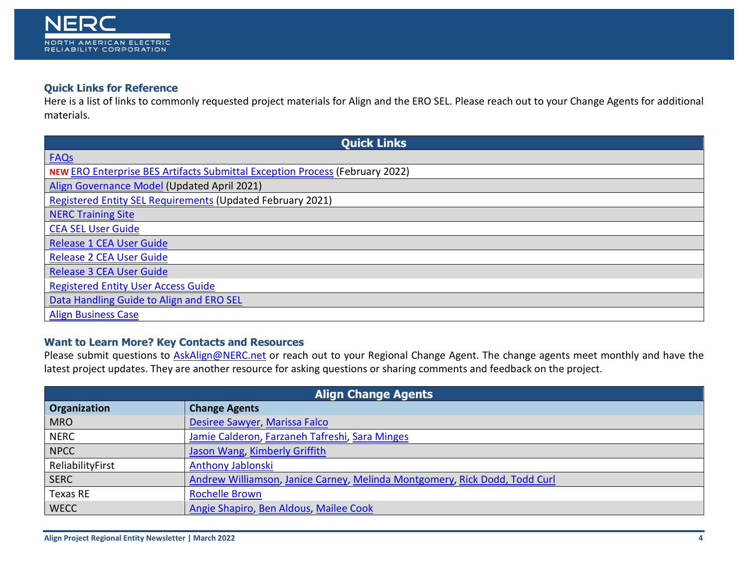

## **Quick Links for Reference**

Here is a list of links to commonly requested project materials for Align and the ERO SEL. Please reach out to your Change Agents for additional materials.

| <b>Quick Links</b>                                                                  |  |  |
|-------------------------------------------------------------------------------------|--|--|
| <b>FAQs</b>                                                                         |  |  |
| <b>NEW ERO Enterprise BES Artifacts Submittal Exception Process (February 2022)</b> |  |  |
| Align Governance Model (Updated April 2021)                                         |  |  |
| Registered Entity SEL Requirements (Updated February 2021)                          |  |  |
| <b>NERC Training Site</b>                                                           |  |  |
| <b>CEA SEL User Guide</b>                                                           |  |  |
| <b>Release 1 CEA User Guide</b>                                                     |  |  |
| <b>Release 2 CEA User Guide</b>                                                     |  |  |
| <b>Release 3 CEA User Guide</b>                                                     |  |  |
| <b>Registered Entity User Access Guide</b>                                          |  |  |
| Data Handling Guide to Align and ERO SEL                                            |  |  |
| <b>Align Business Case</b>                                                          |  |  |

## <span id="page-3-0"></span>**Want to Learn More? Key Contacts and Resources**

Please submit questions to **AskAlign@NERC.net** or reach out to your Regional Change Agent. The change agents meet monthly and have the latest project updates. They are another resource for asking questions or sharing comments and feedback on the project.

| <b>Align Change Agents</b> |                                                                            |  |
|----------------------------|----------------------------------------------------------------------------|--|
| Organization               | <b>Change Agents</b>                                                       |  |
| <b>MRO</b>                 | Desiree Sawyer, Marissa Falco                                              |  |
| <b>NERC</b>                | Jamie Calderon, Farzaneh Tafreshi, Sara Minges                             |  |
| <b>NPCC</b>                | <b>Jason Wang, Kimberly Griffith</b>                                       |  |
| ReliabilityFirst           | <b>Anthony Jablonski</b>                                                   |  |
| <b>SERC</b>                | Andrew Williamson, Janice Carney, Melinda Montgomery, Rick Dodd, Todd Curl |  |
| Texas RE                   | <b>Rochelle Brown</b>                                                      |  |
| <b>WECC</b>                | Angie Shapiro, Ben Aldous, Mailee Cook                                     |  |